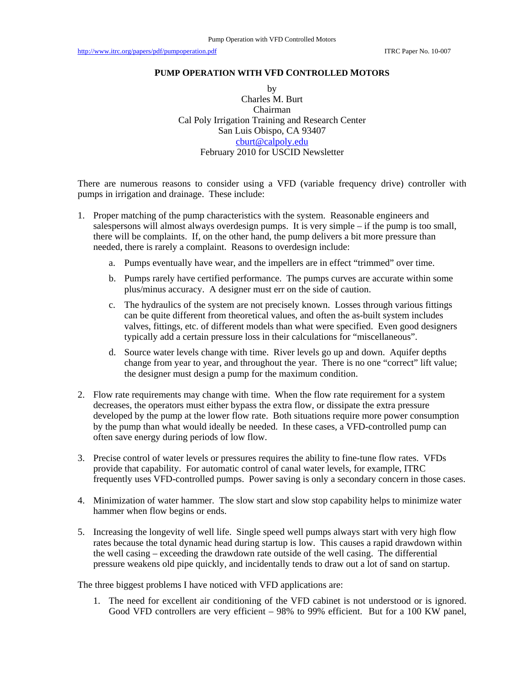## **PUMP OPERATION WITH VFD CONTROLLED MOTORS**

by Charles M. Burt Chairman Cal Poly Irrigation Training and Research Center San Luis Obispo, CA 93407 cburt@calpoly.edu February 2010 for USCID Newsletter

There are numerous reasons to consider using a VFD (variable frequency drive) controller with pumps in irrigation and drainage. These include:

- 1. Proper matching of the pump characteristics with the system. Reasonable engineers and salespersons will almost always overdesign pumps. It is very simple – if the pump is too small, there will be complaints. If, on the other hand, the pump delivers a bit more pressure than needed, there is rarely a complaint. Reasons to overdesign include:
	- a. Pumps eventually have wear, and the impellers are in effect "trimmed" over time.
	- b. Pumps rarely have certified performance. The pumps curves are accurate within some plus/minus accuracy. A designer must err on the side of caution.
	- c. The hydraulics of the system are not precisely known. Losses through various fittings can be quite different from theoretical values, and often the as-built system includes valves, fittings, etc. of different models than what were specified. Even good designers typically add a certain pressure loss in their calculations for "miscellaneous".
	- d. Source water levels change with time. River levels go up and down. Aquifer depths change from year to year, and throughout the year. There is no one "correct" lift value; the designer must design a pump for the maximum condition.
- 2. Flow rate requirements may change with time. When the flow rate requirement for a system decreases, the operators must either bypass the extra flow, or dissipate the extra pressure developed by the pump at the lower flow rate. Both situations require more power consumption by the pump than what would ideally be needed. In these cases, a VFD-controlled pump can often save energy during periods of low flow.
- 3. Precise control of water levels or pressures requires the ability to fine-tune flow rates. VFDs provide that capability. For automatic control of canal water levels, for example, ITRC frequently uses VFD-controlled pumps. Power saving is only a secondary concern in those cases.
- 4. Minimization of water hammer. The slow start and slow stop capability helps to minimize water hammer when flow begins or ends.
- 5. Increasing the longevity of well life. Single speed well pumps always start with very high flow rates because the total dynamic head during startup is low. This causes a rapid drawdown within the well casing – exceeding the drawdown rate outside of the well casing. The differential pressure weakens old pipe quickly, and incidentally tends to draw out a lot of sand on startup.

The three biggest problems I have noticed with VFD applications are:

1. The need for excellent air conditioning of the VFD cabinet is not understood or is ignored. Good VFD controllers are very efficient – 98% to 99% efficient. But for a 100 KW panel,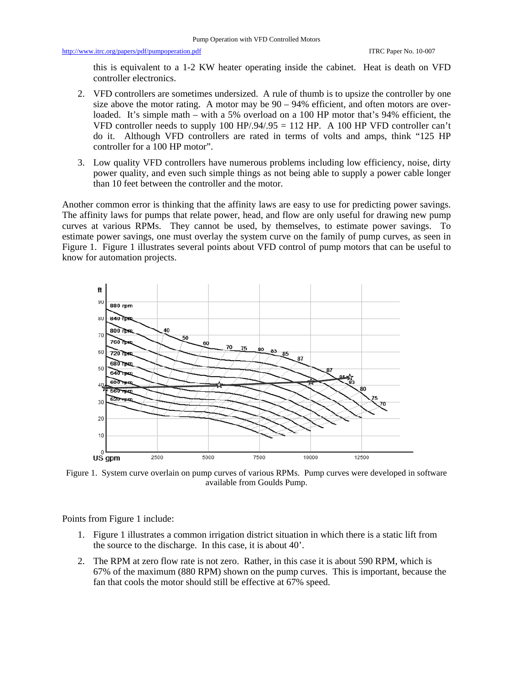http://www.itrc.org/papers/pdf/pumpoperation.pdf ITRC Paper No. 10-007

this is equivalent to a 1-2 KW heater operating inside the cabinet. Heat is death on VFD controller electronics.

- 2. VFD controllers are sometimes undersized. A rule of thumb is to upsize the controller by one size above the motor rating. A motor may be  $90 - 94\%$  efficient, and often motors are overloaded. It's simple math – with a 5% overload on a 100 HP motor that's 94% efficient, the VFD controller needs to supply  $100 \text{ HP}$ /.94/.95 = 112 HP. A 100 HP VFD controller can't do it. Although VFD controllers are rated in terms of volts and amps, think "125 HP controller for a 100 HP motor".
- 3. Low quality VFD controllers have numerous problems including low efficiency, noise, dirty power quality, and even such simple things as not being able to supply a power cable longer than 10 feet between the controller and the motor.

Another common error is thinking that the affinity laws are easy to use for predicting power savings. The affinity laws for pumps that relate power, head, and flow are only useful for drawing new pump curves at various RPMs. They cannot be used, by themselves, to estimate power savings. To estimate power savings, one must overlay the system curve on the family of pump curves, as seen in Figure 1. Figure 1 illustrates several points about VFD control of pump motors that can be useful to know for automation projects.



Figure 1. System curve overlain on pump curves of various RPMs. Pump curves were developed in software available from Goulds Pump.

Points from Figure 1 include:

- 1. Figure 1 illustrates a common irrigation district situation in which there is a static lift from the source to the discharge. In this case, it is about 40'.
- 2. The RPM at zero flow rate is not zero. Rather, in this case it is about 590 RPM, which is 67% of the maximum (880 RPM) shown on the pump curves. This is important, because the fan that cools the motor should still be effective at 67% speed.